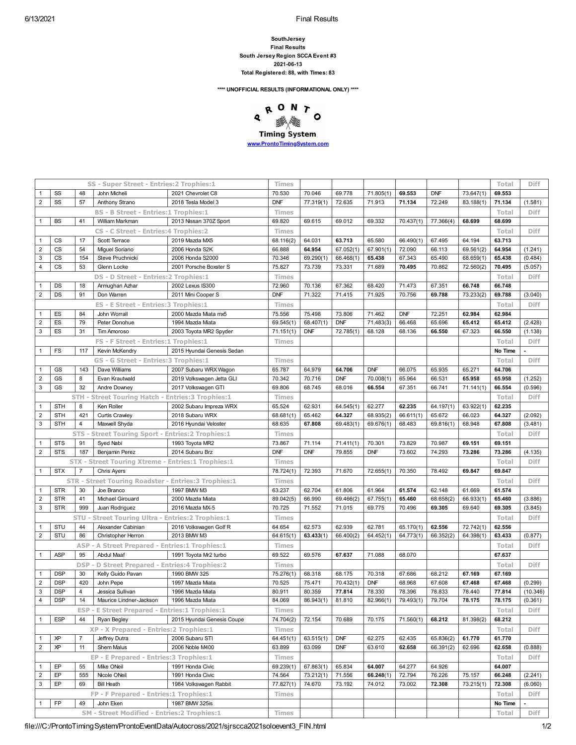## **SouthJersey Final Results South Jersey Region SCCA Event #3 2021-06-13 Total Registered: 88, with Times: 83**

**\*\*\*\* UNOFFICIAL RESULTS (INFORMATIONAL ONLY) \*\*\*\***



**[www.ProntoTimingSystem.com](http://www.prontotimingsystem.com/)**

|                           |            |                | SS - Super Street - Entries: 2 Trophies: 1                  |                            | Times        |                  |            |            |                            |            |           | Total   | Diff                     |
|---------------------------|------------|----------------|-------------------------------------------------------------|----------------------------|--------------|------------------|------------|------------|----------------------------|------------|-----------|---------|--------------------------|
| $\mathbf{1}$              | SS         | 48             | John Micheli                                                | 2021 Chevrolet C8          | 70.530       | 70.046           | 69.778     | 71.805(1)  | 69.553                     | <b>DNF</b> | 73.647(1) | 69.553  |                          |
| $\sqrt{2}$                | SS         | 57             | Anthony Strano                                              | 2018 Tesla Model 3         | <b>DNF</b>   | 77.319(1)        | 72.635     | 71.913     | 71.134                     | 72.249     | 83.188(1) | 71.134  | (1.581)                  |
|                           |            |                | <b>BS - B Street - Entries:1 Trophies:1</b>                 |                            | <b>Times</b> |                  |            |            |                            |            |           | Total   | <b>Diff</b>              |
| $\mathbf{1}$              | <b>BS</b>  | 41             | William Markman                                             | 2013 Nissan 370Z Sport     | 69.820       | 69.615           | 69.012     | 69.332     | 70.437(1)                  | 77.366(4)  | 68.699    | 68.699  |                          |
|                           |            |                | CS - C Street - Entries: 4 Trophies: 2                      |                            | <b>Times</b> |                  |            |            |                            |            |           | Total   | <b>Diff</b>              |
| $\overline{1}$            | CS         | 17             | Scott Terrace                                               | 2019 Mazda MX5             | 68.116(2)    | 64.031           | 63.713     | 65.580     | 66.490(1)                  | 67.495     | 64.194    | 63.713  |                          |
| $\sqrt{2}$                | <b>CS</b>  | 54             | Miguel Soriano                                              | 2006 Honda S2K             | 66.888       | 64.954           | 67.052(1)  | 67.901(1)  | 72.090                     | 66.113     | 69.561(2) | 64.954  | (1.241)                  |
| $\mathsf 3$               | CS         | 154            | Steve Pruchnicki                                            | 2006 Honda S2000           | 70.346       | 69.290(1)        | 66.468(1)  | 65.438     | 67.343                     | 65.490     | 68.659(1) | 65.438  | (0.484)                  |
| $\overline{4}$            | CS         | 53             | Glenn Locke                                                 | 2001 Porsche Boxster S     | 75.827       | 73.739           | 73.331     | 71.689     | 70.495                     | 70.862     | 72.560(2) | 70.495  | (5.057)                  |
|                           |            |                | DS - D Street - Entries: 2 Trophies: 1                      |                            | <b>Times</b> |                  |            |            |                            |            |           | Total   | <b>Diff</b>              |
| $\mathbf{1}$              | DS         | 18             | Armughan Azhar                                              | 2002 Lexus IS300           | 72.960       | 70.136           | 67.362     | 68.420     | 71.473                     | 67.351     | 66.748    | 66.748  |                          |
| $\sqrt{2}$                | DS         | 91             | Don Warren                                                  | 2011 Mini Cooper S         | <b>DNF</b>   | 71.322           | 71.415     | 71.925     | 70.756                     | 69.788     | 73.233(2) | 69.788  | (3.040)                  |
|                           |            |                | ES - E Street - Entries: 3 Trophies: 1                      |                            | <b>Times</b> |                  |            |            |                            |            |           | Total   | <b>Diff</b>              |
| $\mathbf{1}$              | ES         | 84             | John Worrall                                                | 2000 Mazda Miata mx5       | 75.556       | 75.498           | 73.806     | 71.462     | <b>DNF</b>                 | 72.251     | 62.984    | 62.984  |                          |
| $\sqrt{2}$                | ES         | 79             | Peter Donohue                                               | 1994 Mazda Miata           | 69.545(1)    | 68.407(1)        | <b>DNF</b> | 71.483(3)  | 66.468                     | 65.696     | 65.412    | 65.412  | (2.428)                  |
| $\mathsf 3$               | ES         | 31             | Tim Amoroso                                                 | 2003 Toyota MR2 Spyder     | 71.151(1)    | <b>DNF</b>       | 72.785(1)  | 68.128     | 68.136                     | 66.550     | 67.323    | 66.550  | (1.138)                  |
|                           |            |                | FS - F Street - Entries:1 Trophies:1                        |                            | Times        |                  |            |            |                            |            |           | Total   | <b>Diff</b>              |
| $\mathbf{1}$              | <b>FS</b>  | 117            | Kevin McKendry                                              | 2015 Hyundai Genesis Sedan |              |                  |            |            |                            |            |           | No Time | $\overline{\phantom{a}}$ |
|                           |            |                | GS - G Street - Entries:3 Trophies:1                        |                            | <b>Times</b> |                  |            |            |                            |            |           | Total   | <b>Diff</b>              |
| $\mathbf{1}$              | GS         | 143            | Dave Williams                                               | 2007 Subaru WRX Wagon      | 65.787       | 64.979           | 64.706     | <b>DNF</b> | 66.075                     | 65.935     | 65.271    | 64.706  |                          |
| $\mathbf 2$               | GS         | 8              | Evan Krautwald                                              | 2019 Volkswagen Jetta GLI  | 70.342       | 70.716           | <b>DNF</b> | 70.008(1)  | 65.964                     | 66.531     | 65.958    | 65.958  | (1.252)                  |
| 3                         | GS         | 32             | Andre Downey                                                | 2017 Volkswagen GTI        | 69.806       | 68.745           | 68.016     | 66.554     | 67.351                     | 66.741     | 71.141(1) | 66.554  | (0.596)                  |
|                           |            |                | STH - Street Touring Hatch - Entries: 3 Trophies: 1         |                            | Times        |                  |            |            |                            |            |           | Total   | <b>Diff</b>              |
| $\mathbf{1}$              | <b>STH</b> | 8              | Ken Roller                                                  | 2002 Subaru Impreza WRX    | 65.524       | 62.931           | 64.545(1)  | 62.277     | 62.235                     | 64.197(1)  | 63.922(1) | 62.235  |                          |
| $\mathbf 2$               | <b>STH</b> | 421            | <b>Curtis Crawley</b>                                       | 2018 Subaru WRX            | 68.681(1)    | 65.462           | 64.327     | 68.935(2)  | 66.611(1)                  | 65.672     | 66.023    | 64.327  | (2.092)                  |
| 3                         | <b>STH</b> | $\overline{4}$ | Maxwell Shyda                                               | 2016 Hyundai Veloster      | 68.635       | 67.808           | 69.483(1)  | 69.676(1)  | 68.483                     | 69.816(1)  | 68.948    | 67.808  | (3.481)                  |
|                           |            |                | STS - Street Touring Sport - Entries: 2 Trophies: 1         |                            | Times        |                  |            |            |                            |            |           | Total   | <b>Diff</b>              |
| $\mathbf{1}$              | <b>STS</b> | 91             | Syed Nabi                                                   | 1993 Toyota MR2            | 73.867       | 71.114           | 71.411(1)  | 70.301     | 73.829                     | 70.987     | 69.151    | 69.151  |                          |
| $\mathbf 2$               | <b>STS</b> | 187            | Benjamin Perez                                              | 2014 Subaru Brz            | <b>DNF</b>   | <b>DNF</b>       | 79.855     | <b>DNF</b> | 73.602                     | 74.293     | 73.286    | 73.286  | (4.135)                  |
|                           |            |                |                                                             |                            |              |                  |            |            |                            |            |           |         |                          |
|                           |            |                | <b>STX - Street Touring Xtreme - Entries:1 Trophies:1</b>   |                            | Times        |                  |            |            |                            |            |           | Total   | <b>Diff</b>              |
| $\mathbf{1}$              | <b>STX</b> | $\overline{7}$ | Chris Ayers                                                 |                            | 78.724(1)    | 72.393           | 71.670     | 72.655(1)  | 70.350                     | 78.492     | 69.847    | 69.847  |                          |
|                           |            |                | <b>STR - Street Touring Roadster - Entries:3 Trophies:1</b> |                            | <b>Times</b> |                  |            |            |                            |            |           | Total   | <b>Diff</b>              |
| $\mathbf{1}$              | <b>STR</b> | 30             | Joe Branco                                                  | 1997 BMW M3                | 63.237       | 62.704           | 61.806     | 61.964     | 61.574                     | 62.148     | 61.669    | 61.574  |                          |
| $\sqrt{2}$                | <b>STR</b> | 41             | Michael Girouard                                            | 2000 Mazda Miata           | 89.042(5)    | 66.990           | 69.466(2)  | 67.755(1)  | 65.460                     | 68.658(2)  | 66.933(1) | 65.460  | (3.886)                  |
| $\ensuremath{\mathsf{3}}$ | <b>STR</b> | 999            | Juan Rodriguez                                              | 2016 Mazda MX-5            | 70.725       | 71.552           | 71.015     | 69.775     | 70.496                     | 69.305     | 69.640    | 69.305  | (3.845)                  |
|                           |            |                | STU - Street Touring Ultra - Entries: 2 Trophies: 1         |                            | <b>Times</b> |                  |            |            |                            |            |           | Total   | <b>Diff</b>              |
| $\mathbf 1$               | STU        | 44             | Alexander Cabinian                                          | 2016 Volkswagen Golf R     | 64.654       | 62.573           | 62.939     | 62.781     | 65.170(1)                  | 62.556     | 72.742(1) | 62.556  |                          |
| $\overline{2}$            | STU        | 86             | Christopher Herron                                          | 2013 BMW M3                | 64.615(1)    | 63.433(1)        | 66.400(2)  | 64.452(1)  | 64.773(1)                  | 66.352(2)  | 64.398(1) | 63.433  | (0.877)                  |
|                           |            |                | ASP - A Street Prepared - Entries:1 Trophies:1              |                            | Times        |                  |            |            |                            |            |           | Total   | <b>Diff</b>              |
| $\mathbf{1}$              | ASP        | 95             | Abdul Maaf                                                  | 1991 Toyota Mr2 turbo      | 69.522       | 69.576           | 67.637     | 71.088     | 68.070                     |            |           | 67.637  |                          |
|                           |            | <b>DSP</b>     | <b>D Street Prepared - Entries:4 Trophies:2</b>             |                            | <b>Times</b> |                  |            |            |                            |            |           | Total   | <b>Diff</b>              |
| $\overline{1}$            | <b>DSP</b> | 30             | Kelly Guido Pavan                                           | 1990 BMW 325               | 75.276(1)    | 68.318           | 68.175     | 70.318     | 67.686                     | 68.212     | 67.169    | 67.169  |                          |
| $\sqrt{2}$                | <b>DSP</b> | 420            | John Pepe                                                   | 1997 Mazda Miata           | 70.525       | 75.471           | 70.432(1)  | <b>DNF</b> | 68.968                     | 67.608     | 67.468    | 67.468  | (0.299)                  |
| $\mathsf 3$               | <b>DSP</b> | $\overline{4}$ | Jessica Sullivan                                            | 1996 Mazda Miata           | 80.911       | 80.359           | 77.814     | 78.330     | 78.396                     | 78.833     | 78.440    | 77.814  | (10.346)                 |
|                           | $4$ DSP    |                | 14   Maurice Lindner-Jackson   1996 Mazda Miata             |                            | 84.069       | 86.943(1) 81.810 |            |            | 82.966(1) 79.493(1) 79.704 |            | 78.175    | 78.175  | (0.361)                  |
|                           |            |                | <b>ESP - E Street Prepared - Entries:1 Trophies:1</b>       |                            | Times        |                  |            |            |                            |            |           | Total   | Diff                     |
| $\mathbf{1}$              | <b>ESP</b> | 44             | Ryan Begley                                                 | 2015 Hyundai Genesis Coupe | 74.704(2)    | 72.154           | 70.689     | 70.175     | 71.560(1)                  | 68.212     | 81.398(2) | 68.212  |                          |
|                           |            |                | XP - X Prepared - Entries: 2 Trophies: 1                    |                            | <b>Times</b> |                  |            |            |                            |            |           | Total   | Diff                     |
| $\mathbf{1}$              | ΧP         | $\overline{7}$ | Jeffrey Dutra                                               | 2006 Subaru STI            | 64.451(1)    | 63.515(1)        | <b>DNF</b> | 62.275     | 62.435                     | 65.836(2)  | 61.770    | 61.770  |                          |
| $\sqrt{2}$                | ΧP         | 11             | Shem Malus                                                  | 2006 Noble M400            | 63.899       | 63.099           | <b>DNF</b> | 63.610     | 62.658                     | 66.391(2)  | 62.696    | 62.658  | (0.888)                  |
|                           |            |                | EP - E Prepared - Entries: 3 Trophies: 1                    |                            | Times        |                  |            |            |                            |            |           | Total   | <b>Diff</b>              |
| $\mathbf{1}$              | EP         | 55             | Mike ONeil                                                  | 1991 Honda Civic           | 69.239(1)    | 67.863(1)        | 65.834     | 64.007     | 64.277                     | 64.926     |           | 64.007  |                          |
| $\sqrt{2}$                | EP         | 555            | Nicole ONeil                                                | 1991 Honda Civic           | 74.564       | 73.212(1)        | 71.556     | 66.248(1)  | 72.794                     | 76.226     | 75.157    | 66.248  | (2.241)                  |
| $\ensuremath{\mathsf{3}}$ | EP         | 69             | <b>Bill Heath</b>                                           | 1984 Volkswagen Rabbit     | 77.827(1)    | 74.670           | 73.192     | 74.012     | 73.002                     | 72.308     | 73.215(1) | 72.308  | (6.060)                  |
|                           |            |                | FP - F Prepared - Entries:1 Trophies:1                      |                            | <b>Times</b> |                  |            |            |                            |            |           | Total   | <b>Diff</b>              |
| $\mathbf{1}$              | FP         | 49             | John Eken                                                   | 1987 BMW 325is             |              |                  |            |            |                            |            |           | No Time |                          |